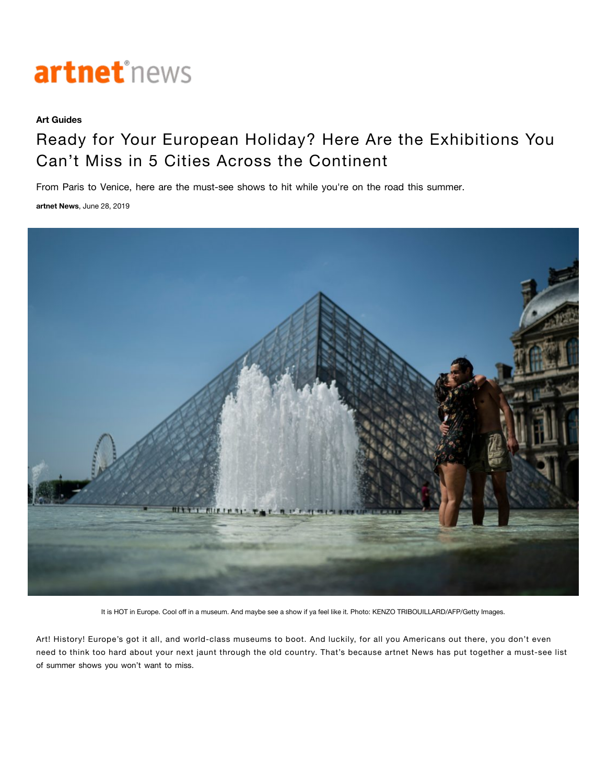

## **Art Guides**

## Ready for Your European Holiday? Here Are the Exhibitions You Can't Miss in 5 Cities Across the Continent

From Paris to Venice, here are the must-see shows to hit while you're on the road this summer.

**[artnet News](https://news.artnet.com/about/artnet-news-39)**, June 28, 2019



It is HOT in Europe. Cool off in a museum. And maybe see a show if ya feel like it. Photo: KENZO TRIBOUILLARD/AFP/Getty Images.

Art! History! Europe's got it all, and world-class museums to boot. And luckily, for all you Americans out there, you don't even need to think too hard about your next jaunt through the old country. That's because artnet News has put together a must-see list of summer shows you won't want to miss.